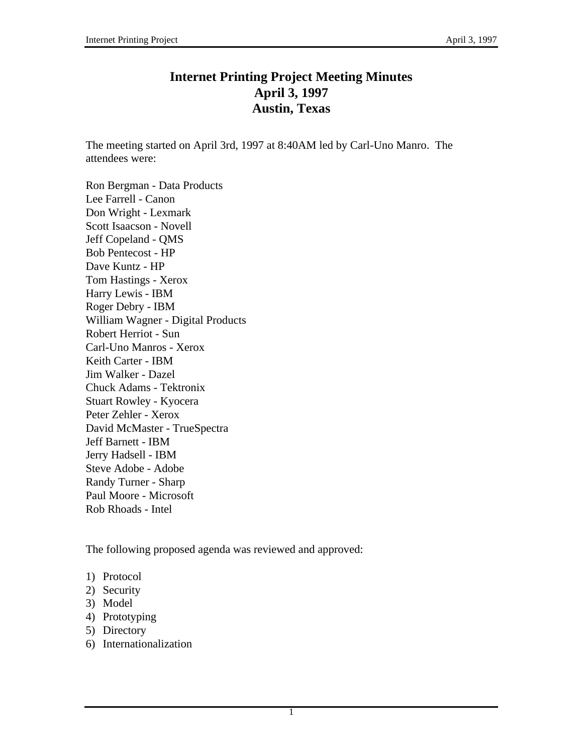# **Internet Printing Project Meeting Minutes April 3, 1997 Austin, Texas**

The meeting started on April 3rd, 1997 at 8:40AM led by Carl-Uno Manro. The attendees were:

Ron Bergman - Data Products Lee Farrell - Canon Don Wright - Lexmark Scott Isaacson - Novell Jeff Copeland - QMS Bob Pentecost - HP Dave Kuntz - HP Tom Hastings - Xerox Harry Lewis - IBM Roger Debry - IBM William Wagner - Digital Products Robert Herriot - Sun Carl-Uno Manros - Xerox Keith Carter - IBM Jim Walker - Dazel Chuck Adams - Tektronix Stuart Rowley - Kyocera Peter Zehler - Xerox David McMaster - TrueSpectra Jeff Barnett - IBM Jerry Hadsell - IBM Steve Adobe - Adobe Randy Turner - Sharp Paul Moore - Microsoft Rob Rhoads - Intel

The following proposed agenda was reviewed and approved:

- 1) Protocol
- 2) Security
- 3) Model
- 4) Prototyping
- 5) Directory
- 6) Internationalization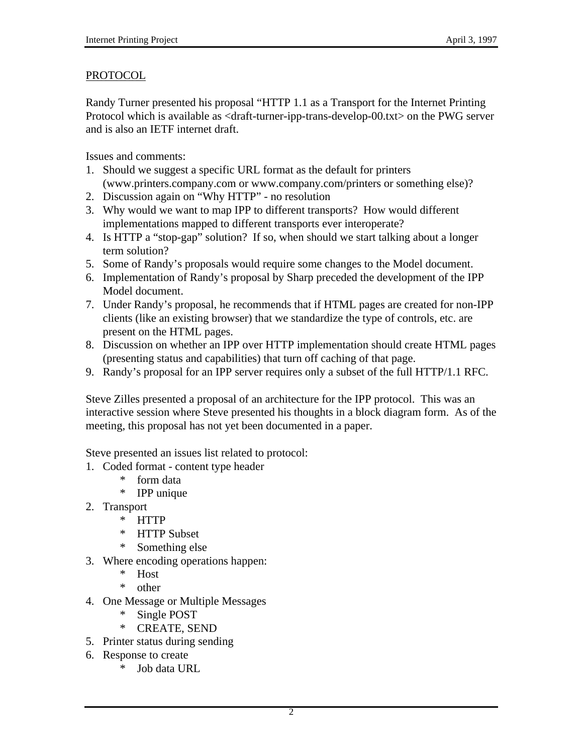#### PROTOCOL

Randy Turner presented his proposal "HTTP 1.1 as a Transport for the Internet Printing Protocol which is available as <draft-turner-ipp-trans-develop-00.txt> on the PWG server and is also an IETF internet draft.

Issues and comments:

- 1. Should we suggest a specific URL format as the default for printers (www.printers.company.com or www.company.com/printers or something else)?
- 2. Discussion again on "Why HTTP" no resolution
- 3. Why would we want to map IPP to different transports? How would different implementations mapped to different transports ever interoperate?
- 4. Is HTTP a "stop-gap" solution? If so, when should we start talking about a longer term solution?
- 5. Some of Randy's proposals would require some changes to the Model document.
- 6. Implementation of Randy's proposal by Sharp preceded the development of the IPP Model document.
- 7. Under Randy's proposal, he recommends that if HTML pages are created for non-IPP clients (like an existing browser) that we standardize the type of controls, etc. are present on the HTML pages.
- 8. Discussion on whether an IPP over HTTP implementation should create HTML pages (presenting status and capabilities) that turn off caching of that page.
- 9. Randy's proposal for an IPP server requires only a subset of the full HTTP/1.1 RFC.

Steve Zilles presented a proposal of an architecture for the IPP protocol. This was an interactive session where Steve presented his thoughts in a block diagram form. As of the meeting, this proposal has not yet been documented in a paper.

Steve presented an issues list related to protocol:

- 1. Coded format content type header
	- \* form data
	- \* IPP unique
- 2. Transport
	- \* HTTP
	- \* HTTP Subset
	- \* Something else
- 3. Where encoding operations happen:
	- \* Host
	- \* other
- 4. One Message or Multiple Messages
	- Single POST
	- \* CREATE, SEND
- 5. Printer status during sending
- 6. Response to create
	- Job data URL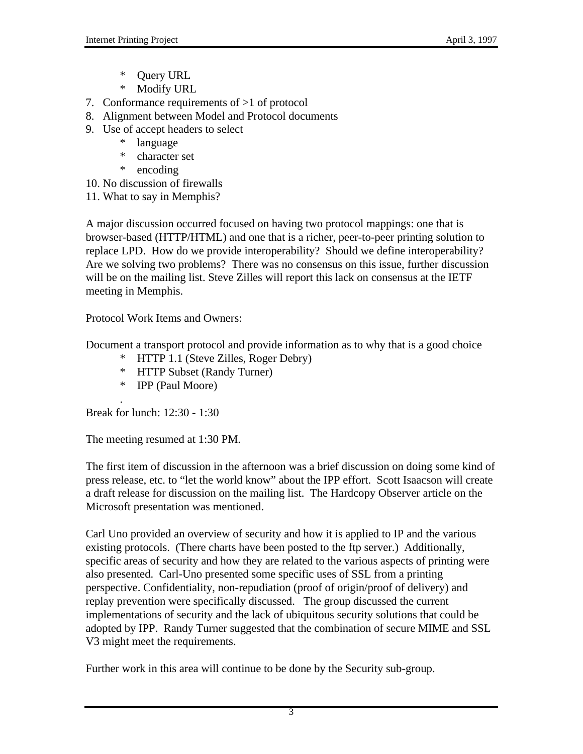- \* Query URL
- \* Modify URL
- 7. Conformance requirements of >1 of protocol
- 8. Alignment between Model and Protocol documents
- 9. Use of accept headers to select
	- \* language
	- \* character set
	- \* encoding
- 10. No discussion of firewalls
- 11. What to say in Memphis?

A major discussion occurred focused on having two protocol mappings: one that is browser-based (HTTP/HTML) and one that is a richer, peer-to-peer printing solution to replace LPD. How do we provide interoperability? Should we define interoperability? Are we solving two problems? There was no consensus on this issue, further discussion will be on the mailing list. Steve Zilles will report this lack on consensus at the IETF meeting in Memphis.

Protocol Work Items and Owners:

Document a transport protocol and provide information as to why that is a good choice

- \* HTTP 1.1 (Steve Zilles, Roger Debry)
- \* HTTP Subset (Randy Turner)
- \* IPP (Paul Moore)

. Break for lunch: 12:30 - 1:30

The meeting resumed at 1:30 PM.

The first item of discussion in the afternoon was a brief discussion on doing some kind of press release, etc. to "let the world know" about the IPP effort. Scott Isaacson will create a draft release for discussion on the mailing list. The Hardcopy Observer article on the Microsoft presentation was mentioned.

Carl Uno provided an overview of security and how it is applied to IP and the various existing protocols. (There charts have been posted to the ftp server.) Additionally, specific areas of security and how they are related to the various aspects of printing were also presented. Carl-Uno presented some specific uses of SSL from a printing perspective. Confidentiality, non-repudiation (proof of origin/proof of delivery) and replay prevention were specifically discussed. The group discussed the current implementations of security and the lack of ubiquitous security solutions that could be adopted by IPP. Randy Turner suggested that the combination of secure MIME and SSL V3 might meet the requirements.

Further work in this area will continue to be done by the Security sub-group.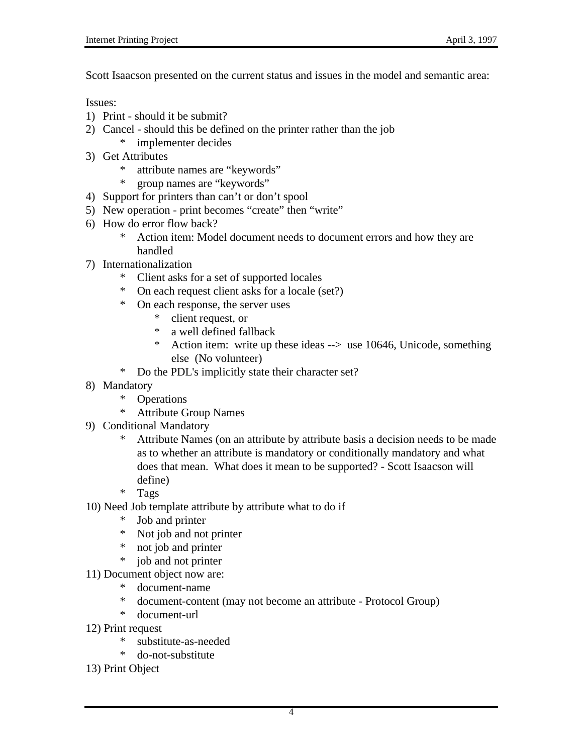Scott Isaacson presented on the current status and issues in the model and semantic area:

Issues:

- 1) Print should it be submit?
- 2) Cancel should this be defined on the printer rather than the job
	- \* implementer decides
- 3) Get Attributes
	- \* attribute names are "keywords"
	- \* group names are "keywords"
- 4) Support for printers than can't or don't spool
- 5) New operation print becomes "create" then "write"
- 6) How do error flow back?<br> $*$  Action item: Mode
	- Action item: Model document needs to document errors and how they are handled
- 7) Internationalization
	- \* Client asks for a set of supported locales
	- On each request client asks for a locale (set?)
	- \* On each response, the server uses
		- \* client request, or
		- \* a well defined fallback
		- \* Action item: write up these ideas --> use 10646, Unicode, something else (No volunteer)
	- \* Do the PDL's implicitly state their character set?
- 8) Mandatory
	- \* Operations
	- \* Attribute Group Names
- 9) Conditional Mandatory
	- \* Attribute Names (on an attribute by attribute basis a decision needs to be made as to whether an attribute is mandatory or conditionally mandatory and what does that mean. What does it mean to be supported? - Scott Isaacson will define)
	- \* Tags
- 10) Need Job template attribute by attribute what to do if
	- \* Job and printer
	- \* Not job and not printer
	- \* not job and printer
	- \* job and not printer
- 11) Document object now are:
	- \* document-name
	- \* document-content (may not become an attribute Protocol Group)
	- \* document-url
- 12) Print request
	- \* substitute-as-needed
	- \* do-not-substitute
- 13) Print Object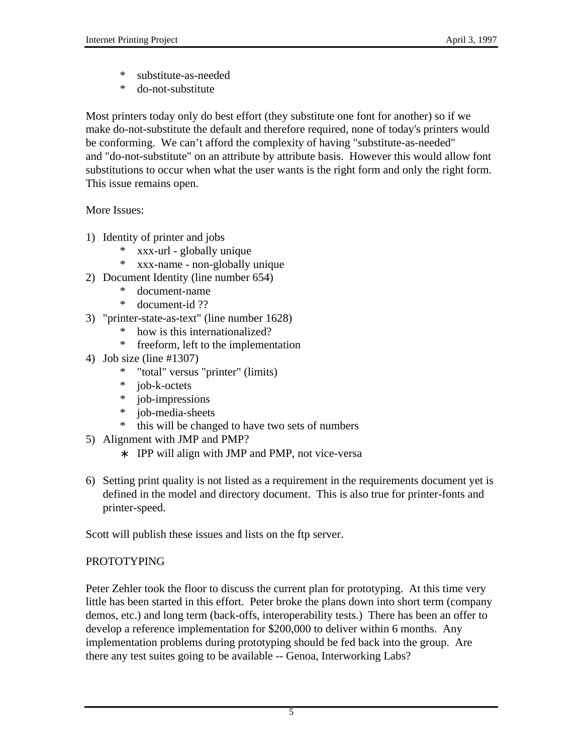- \* substitute-as-needed
- \* do-not-substitute

Most printers today only do best effort (they substitute one font for another) so if we make do-not-substitute the default and therefore required, none of today's printers would be conforming. We can't afford the complexity of having "substitute-as-needed" and "do-not-substitute" on an attribute by attribute basis. However this would allow font substitutions to occur when what the user wants is the right form and only the right form. This issue remains open.

More Issues:

- 1) Identity of printer and jobs
	- \* xxx-url globally unique
	- \* xxx-name non-globally unique
- 2) Document Identity (line number 654)
	- document-name
	- \* document-id ??
- 3) "printer-state-as-text" (line number 1628)
	- how is this internationalized?
	- \* freeform, left to the implementation
- 4) Job size (line #1307)
	- \* "total" versus "printer" (limits)
	- \* job-k-octets
	- \* job-impressions
	- \* job-media-sheets
	- \* this will be changed to have two sets of numbers
- 5) Alignment with JMP and PMP?
	- ∗ IPP will align with JMP and PMP, not vice-versa
- 6) Setting print quality is not listed as a requirement in the requirements document yet is defined in the model and directory document. This is also true for printer-fonts and printer-speed.

Scott will publish these issues and lists on the ftp server.

# PROTOTYPING

Peter Zehler took the floor to discuss the current plan for prototyping. At this time very little has been started in this effort. Peter broke the plans down into short term (company demos, etc.) and long term (back-offs, interoperability tests.) There has been an offer to develop a reference implementation for \$200,000 to deliver within 6 months. Any implementation problems during prototyping should be fed back into the group. Are there any test suites going to be available -- Genoa, Interworking Labs?